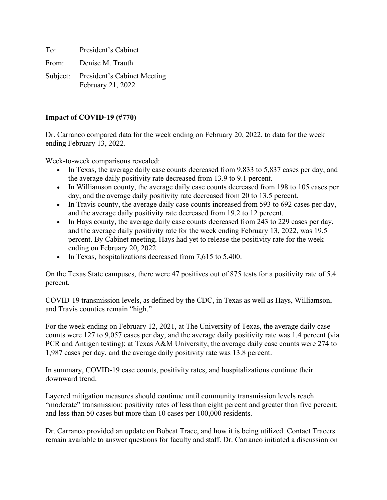To: President's Cabinet

From: Denise M. Trauth

Subject: President's Cabinet Meeting February 21, 2022

#### **Impact of COVID-19 (#770)**

Dr. Carranco compared data for the week ending on February 20, 2022, to data for the week ending February 13, 2022.

Week-to-week comparisons revealed:

- In Texas, the average daily case counts decreased from 9,833 to 5,837 cases per day, and the average daily positivity rate decreased from 13.9 to 9.1 percent.
- In Williamson county, the average daily case counts decreased from 198 to 105 cases per day, and the average daily positivity rate decreased from 20 to 13.5 percent.
- In Travis county, the average daily case counts increased from 593 to 692 cases per day, and the average daily positivity rate decreased from 19.2 to 12 percent.
- In Hays county, the average daily case counts decreased from 243 to 229 cases per day, and the average daily positivity rate for the week ending February 13, 2022, was 19.5 percent. By Cabinet meeting, Hays had yet to release the positivity rate for the week ending on February 20, 2022.
- In Texas, hospitalizations decreased from 7,615 to 5,400.

On the Texas State campuses, there were 47 positives out of 875 tests for a positivity rate of 5.4 percent.

COVID-19 transmission levels, as defined by the CDC, in Texas as well as Hays, Williamson, and Travis counties remain "high."

For the week ending on February 12, 2021, at The University of Texas, the average daily case counts were 127 to 9,057 cases per day, and the average daily positivity rate was 1.4 percent (via PCR and Antigen testing); at Texas A&M University, the average daily case counts were 274 to 1,987 cases per day, and the average daily positivity rate was 13.8 percent.

In summary, COVID-19 case counts, positivity rates, and hospitalizations continue their downward trend.

Layered mitigation measures should continue until community transmission levels reach "moderate" transmission: positivity rates of less than eight percent and greater than five percent; and less than 50 cases but more than 10 cases per 100,000 residents.

Dr. Carranco provided an update on Bobcat Trace, and how it is being utilized. Contact Tracers remain available to answer questions for faculty and staff. Dr. Carranco initiated a discussion on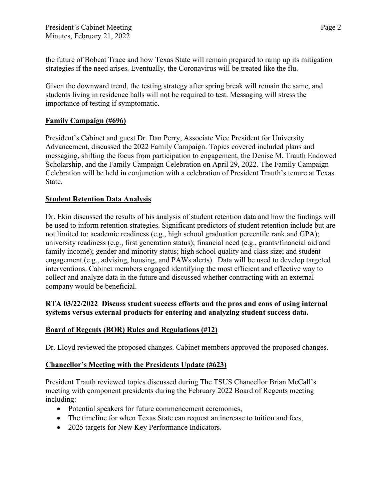the future of Bobcat Trace and how Texas State will remain prepared to ramp up its mitigation strategies if the need arises. Eventually, the Coronavirus will be treated like the flu.

Given the downward trend, the testing strategy after spring break will remain the same, and students living in residence halls will not be required to test. Messaging will stress the importance of testing if symptomatic.

#### **Family Campaign (#696)**

President's Cabinet and guest Dr. Dan Perry, Associate Vice President for University Advancement, discussed the 2022 Family Campaign. Topics covered included plans and messaging, shifting the focus from participation to engagement, the Denise M. Trauth Endowed Scholarship, and the Family Campaign Celebration on April 29, 2022. The Family Campaign Celebration will be held in conjunction with a celebration of President Trauth's tenure at Texas State.

#### **Student Retention Data Analysis**

Dr. Ekin discussed the results of his analysis of student retention data and how the findings will be used to inform retention strategies. Significant predictors of student retention include but are not limited to: academic readiness (e.g., high school graduation percentile rank and GPA); university readiness (e.g., first generation status); financial need (e.g., grants/financial aid and family income); gender and minority status; high school quality and class size; and student engagement (e.g., advising, housing, and PAWs alerts). Data will be used to develop targeted interventions. Cabinet members engaged identifying the most efficient and effective way to collect and analyze data in the future and discussed whether contracting with an external company would be beneficial.

#### **RTA 03/22/2022 Discuss student success efforts and the pros and cons of using internal systems versus external products for entering and analyzing student success data.**

## **Board of Regents (BOR) Rules and Regulations (#12)**

Dr. Lloyd reviewed the proposed changes. Cabinet members approved the proposed changes.

#### **Chancellor's Meeting with the Presidents Update (#623)**

President Trauth reviewed topics discussed during The TSUS Chancellor Brian McCall's meeting with component presidents during the February 2022 Board of Regents meeting including:

- Potential speakers for future commencement ceremonies,
- The timeline for when Texas State can request an increase to tuition and fees,
- 2025 targets for New Key Performance Indicators.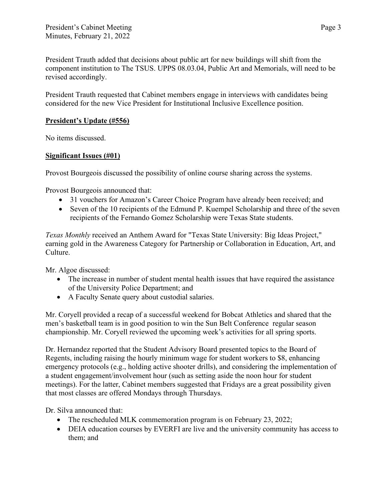President Trauth added that decisions about public art for new buildings will shift from the component institution to The TSUS. UPPS 08.03.04, Public Art and Memorials, will need to be revised accordingly.

President Trauth requested that Cabinet members engage in interviews with candidates being considered for the new Vice President for Institutional Inclusive Excellence position.

# **President's Update (#556)**

No items discussed.

## **Significant Issues (#01)**

Provost Bourgeois discussed the possibility of online course sharing across the systems.

Provost Bourgeois announced that:

- 31 vouchers for Amazon's Career Choice Program have already been received; and
- Seven of the 10 recipients of the Edmund P. Kuempel Scholarship and three of the seven recipients of the Fernando Gomez Scholarship were Texas State students.

*Texas Monthly* received an Anthem Award for "Texas State University: Big Ideas Project," earning gold in the Awareness Category for Partnership or Collaboration in Education, Art, and Culture.

Mr. Algoe discussed:

- The increase in number of student mental health issues that have required the assistance of the University Police Department; and
- A Faculty Senate query about custodial salaries.

Mr. Coryell provided a recap of a successful weekend for Bobcat Athletics and shared that the men's basketball team is in good position to win the Sun Belt Conference regular season championship. Mr. Coryell reviewed the upcoming week's activities for all spring sports.

Dr. Hernandez reported that the Student Advisory Board presented topics to the Board of Regents, including raising the hourly minimum wage for student workers to \$8, enhancing emergency protocols (e.g., holding active shooter drills), and considering the implementation of a student engagement/involvement hour (such as setting aside the noon hour for student meetings). For the latter, Cabinet members suggested that Fridays are a great possibility given that most classes are offered Mondays through Thursdays.

Dr. Silva announced that:

- The rescheduled MLK commemoration program is on February 23, 2022;
- DEIA education courses by EVERFI are live and the university community has access to them; and